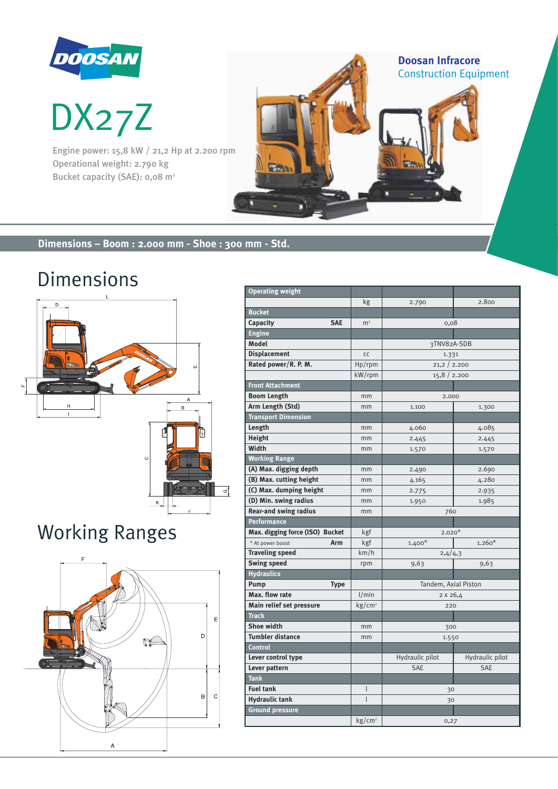

DOOSAN<br>DX27Z

Engine power: 15,8 kW / 21,2 Hp at 2.200 rpm Operational weight: 2.790 kg Bucket capacity (SAE): 0,08 m<sup>3</sup>

# **Dimensions – Boom : 2.000 mm - Shoe : 300 mm - Std.**

 $\frac{1}{2}$ 

# Dimensions



# Working Ranges



| <b>Operating weight</b>         |                    |                      |                 |  |  |  |
|---------------------------------|--------------------|----------------------|-----------------|--|--|--|
|                                 | kg                 | 2.790                | 2.800           |  |  |  |
| <b>Bucket</b>                   |                    |                      |                 |  |  |  |
| Capacity<br><b>SAE</b>          | m <sup>3</sup>     | 0,08                 |                 |  |  |  |
| <b>Engine</b>                   |                    |                      |                 |  |  |  |
| <b>Model</b>                    |                    | 3TNV82A-SDB          |                 |  |  |  |
| <b>Displacement</b>             | CC                 | 1.331                |                 |  |  |  |
| Rated power/R. P. M.            | Hp/rpm             | 21,2 2.200           |                 |  |  |  |
|                                 | kW/rpm             | 15,8/2.200           |                 |  |  |  |
| <b>Front Attachment</b>         |                    |                      |                 |  |  |  |
| <b>Boom Length</b>              | mm                 | 2.000                |                 |  |  |  |
| Arm Length (Std)                | mm                 | 1.100                | 1.300           |  |  |  |
| <b>Transport Dimension</b>      |                    |                      |                 |  |  |  |
| Length                          | mm                 | 4.060                | 4.085           |  |  |  |
| Height                          | mm                 | 2.445                | 2.445           |  |  |  |
| Width                           | mm                 | 1.570                | 1.570           |  |  |  |
| <b>Working Range</b>            |                    |                      |                 |  |  |  |
| (A) Max. digging depth          | mm                 | 2.490                | 2.690           |  |  |  |
| (B) Max. cutting height         | mm                 | 4.165                | 4.280           |  |  |  |
| (C) Max. dumping height         | mm                 | 2.775                | 2.935           |  |  |  |
| (D) Min. swing radius           | mm                 | 1.950                | 1.985           |  |  |  |
| <b>Rear-and swing radius</b>    | mm                 | 760                  |                 |  |  |  |
| Performance                     |                    |                      |                 |  |  |  |
| Max. digging force (ISO) Bucket | kgf                | $2.020*$             |                 |  |  |  |
| * At power boost<br>Arm         | kgf                | $1.400*$             | $1.260*$        |  |  |  |
| <b>Traveling speed</b>          | km/h               | 2,4/4,3              |                 |  |  |  |
| <b>Swing speed</b>              | rpm                | 9,63                 | 9,63            |  |  |  |
| <b>Hydraulics</b>               |                    |                      |                 |  |  |  |
| Pump<br><b>Type</b>             |                    | Tandem, Axial Piston |                 |  |  |  |
| Max. flow rate                  | 1/min              | 2 x 26,4             |                 |  |  |  |
| Main relief set pressure        | kg/cm <sup>2</sup> | 220                  |                 |  |  |  |
| <b>Track</b>                    |                    |                      |                 |  |  |  |
| <b>Shoe width</b>               | mm                 | 300                  |                 |  |  |  |
| <b>Tumbler distance</b>         | mm                 | 1.550                |                 |  |  |  |
| Control                         |                    |                      |                 |  |  |  |
| Lever control type              |                    | Hydraulic pilot      | Hydraulic pilot |  |  |  |
| Lever pattern                   |                    | <b>SAE</b>           | <b>SAE</b>      |  |  |  |
| Tank                            |                    |                      |                 |  |  |  |
| <b>Fuel tank</b>                | l                  | 30                   |                 |  |  |  |
| <b>Hydraulic tank</b>           | $\mathsf{I}$       | 30                   |                 |  |  |  |
| <b>Ground pressure</b>          |                    |                      |                 |  |  |  |
|                                 | kg/cm <sup>2</sup> | 0,27                 |                 |  |  |  |

**Doosan Infracore**

Construction Equipment